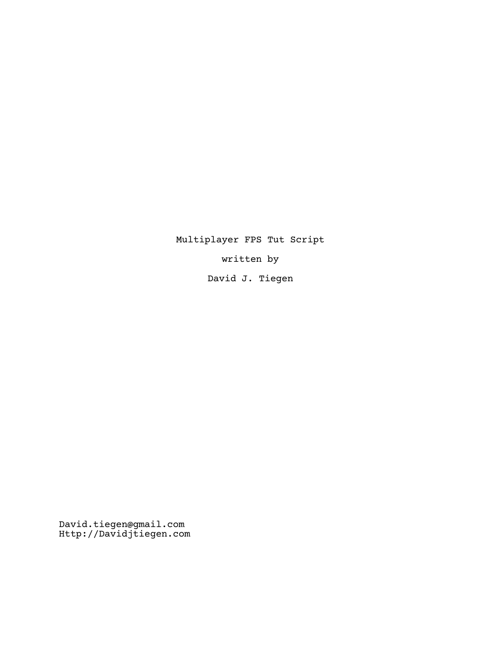Multiplayer FPS Tut Script

written by

David J. Tiegen

David.tiegen@gmail.com Http://Davidjtiegen.com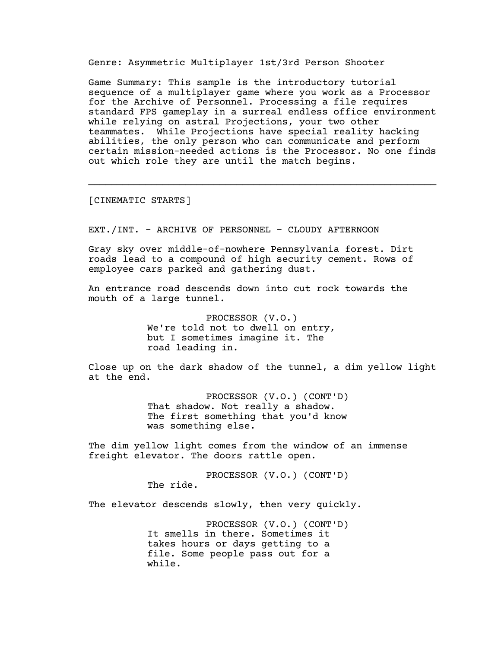Genre: Asymmetric Multiplayer 1st/3rd Person Shooter

Game Summary: This sample is the introductory tutorial sequence of a multiplayer game where you work as a Processor for the Archive of Personnel. Processing a file requires standard FPS gameplay in a surreal endless office environment while relying on astral Projections, your two other teammates. While Projections have special reality hacking abilities, the only person who can communicate and perform certain mission-needed actions is the Processor. No one finds out which role they are until the match begins.

\_\_\_\_\_\_\_\_\_\_\_\_\_\_\_\_\_\_\_\_\_\_\_\_\_\_\_\_\_\_\_\_\_\_\_\_\_\_\_\_\_\_\_\_\_\_\_\_\_\_\_\_\_\_\_\_\_\_\_\_\_

[CINEMATIC STARTS]

EXT./INT. - ARCHIVE OF PERSONNEL - CLOUDY AFTERNOON

Gray sky over middle-of-nowhere Pennsylvania forest. Dirt roads lead to a compound of high security cement. Rows of employee cars parked and gathering dust.

An entrance road descends down into cut rock towards the mouth of a large tunnel.

> PROCESSOR (V.O.) We're told not to dwell on entry, but I sometimes imagine it. The road leading in.

Close up on the dark shadow of the tunnel, a dim yellow light at the end.

> PROCESSOR (V.O.) (CONT'D) That shadow. Not really a shadow. The first something that you'd know was something else.

The dim yellow light comes from the window of an immense freight elevator. The doors rattle open.

> PROCESSOR (V.O.) (CONT'D) The ride.

The elevator descends slowly, then very quickly.

PROCESSOR (V.O.) (CONT'D) It smells in there. Sometimes it takes hours or days getting to a file. Some people pass out for a while.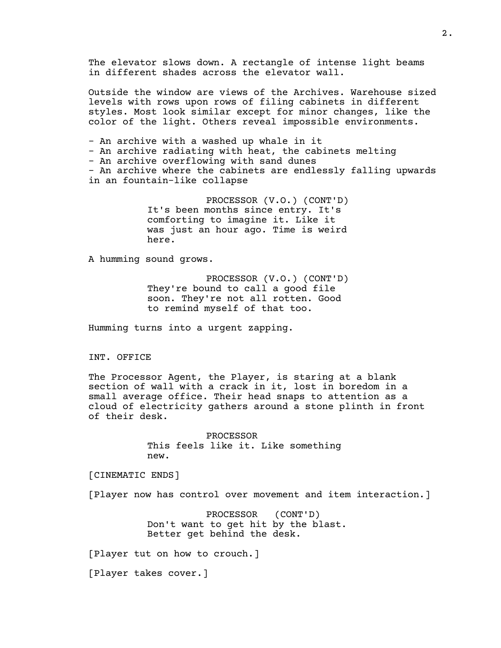The elevator slows down. A rectangle of intense light beams in different shades across the elevator wall. Outside the window are views of the Archives. Warehouse sized levels with rows upon rows of filing cabinets in different styles. Most look similar except for minor changes, like the color of the light. Others reveal impossible environments. - An archive with a washed up whale in it - An archive radiating with heat, the cabinets melting - An archive overflowing with sand dunes - An archive where the cabinets are endlessly falling upwards in an fountain-like collapse

> PROCESSOR (V.O.) (CONT'D) It's been months since entry. It's comforting to imagine it. Like it was just an hour ago. Time is weird here.

A humming sound grows.

PROCESSOR (V.O.) (CONT'D) They're bound to call a good file soon. They're not all rotten. Good to remind myself of that too.

Humming turns into a urgent zapping.

INT. OFFICE

The Processor Agent, the Player, is staring at a blank section of wall with a crack in it, lost in boredom in a small average office. Their head snaps to attention as a cloud of electricity gathers around a stone plinth in front of their desk.

> PROCESSOR This feels like it. Like something new.

[CINEMATIC ENDS]

[Player now has control over movement and item interaction.]

PROCESSOR (CONT'D) Don't want to get hit by the blast. Better get behind the desk.

[Player tut on how to crouch.]

[Player takes cover.]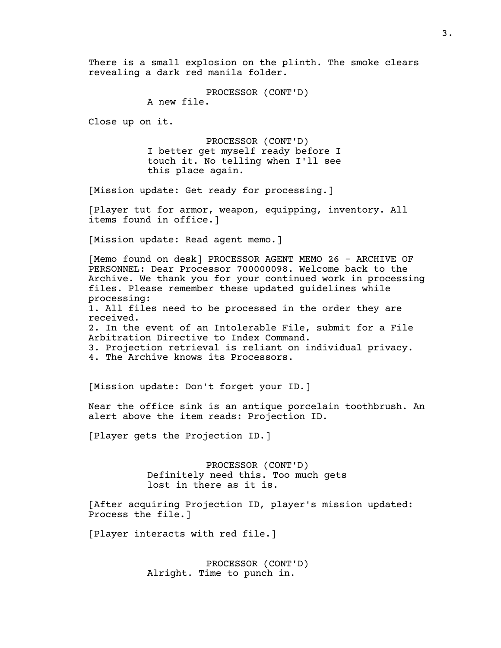There is a small explosion on the plinth. The smoke clears revealing a dark red manila folder.

PROCESSOR (CONT'D)

A new file.

Close up on it.

PROCESSOR (CONT'D) I better get myself ready before I touch it. No telling when I'll see this place again.

[Mission update: Get ready for processing.]

[Player tut for armor, weapon, equipping, inventory. All items found in office.]

[Mission update: Read agent memo.]

[Memo found on desk] PROCESSOR AGENT MEMO 26 - ARCHIVE OF PERSONNEL: Dear Processor 700000098. Welcome back to the Archive. We thank you for your continued work in processing files. Please remember these updated guidelines while processing: 1. All files need to be processed in the order they are received. 2. In the event of an Intolerable File, submit for a File Arbitration Directive to Index Command. 3. Projection retrieval is reliant on individual privacy. 4. The Archive knows its Processors.

[Mission update: Don't forget your ID.]

Near the office sink is an antique porcelain toothbrush. An alert above the item reads: Projection ID.

[Player gets the Projection ID.]

PROCESSOR (CONT'D) Definitely need this. Too much gets lost in there as it is.

[After acquiring Projection ID, player's mission updated: Process the file.]

[Player interacts with red file.]

PROCESSOR (CONT'D) Alright. Time to punch in.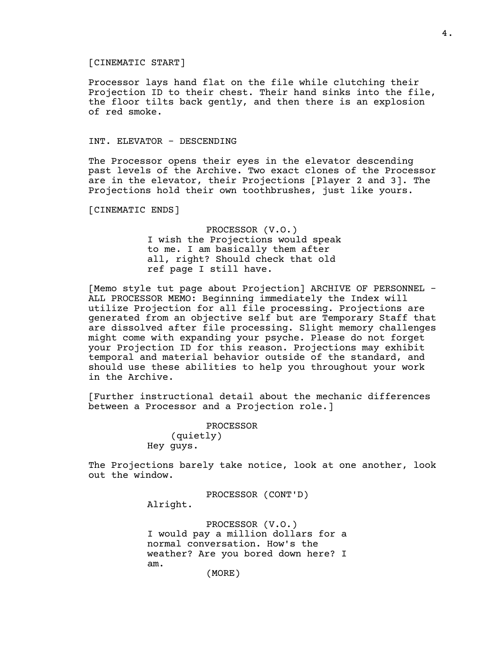## [CINEMATIC START]

Processor lays hand flat on the file while clutching their Projection ID to their chest. Their hand sinks into the file, the floor tilts back gently, and then there is an explosion of red smoke.

## INT. ELEVATOR - DESCENDING

The Processor opens their eyes in the elevator descending past levels of the Archive. Two exact clones of the Processor are in the elevator, their Projections [Player 2 and 3]. The Projections hold their own toothbrushes, just like yours.

[CINEMATIC ENDS]

PROCESSOR (V.O.) I wish the Projections would speak to me. I am basically them after all, right? Should check that old ref page I still have.

[Memo style tut page about Projection] ARCHIVE OF PERSONNEL - ALL PROCESSOR MEMO: Beginning immediately the Index will utilize Projection for all file processing. Projections are generated from an objective self but are Temporary Staff that are dissolved after file processing. Slight memory challenges might come with expanding your psyche. Please do not forget your Projection ID for this reason. Projections may exhibit temporal and material behavior outside of the standard, and should use these abilities to help you throughout your work in the Archive.

[Further instructional detail about the mechanic differences between a Processor and a Projection role.]

> PROCESSOR (quietly) Hey guys.

The Projections barely take notice, look at one another, look out the window.

PROCESSOR (CONT'D)

Alright.

PROCESSOR (V.O.) I would pay a million dollars for a normal conversation. How's the weather? Are you bored down here? I am.

(MORE)